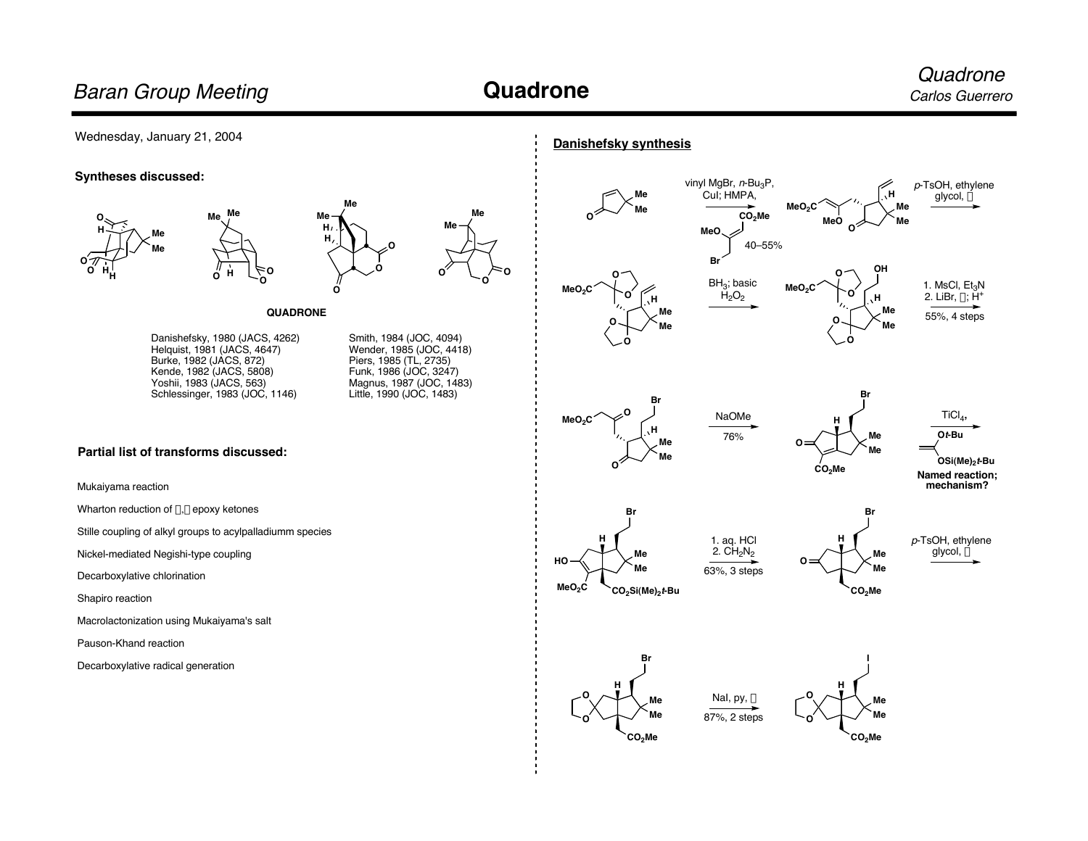## **Quadrone**

### Wednesday, January 21, 2004

#### **Syntheses discussed:**





#### **QUADRONE**

Danishefsky, 1980 (JACS, 4262) Helquist, 1981 (JACS, 4647) Burke, 1982 (JACS, 872) Kende, 1982 (JACS, 5808) Yoshii, 1983 (JACS, 563) Schlessinger, 1983 (JOC, 1146)

**Me Me**

Smith, 1984 (JOC, 4094) Wender, 1985 (JOC, 4418) Piers, 1985 (TL, 2735) Funk, 1986 (JOC, 3247) Magnus, 1987 (JOC, 1483) Little, 1990 (JOC, 1483)

**O**

**Me**

**Me**

**O O**

**O**

#### **Partial list of transforms discussed:**

Mukaiyama reaction

Wharton reduction of  $\alpha$ , $\beta$  epoxy ketones

Stille coupling of alkyl groups to acylpalladiumm species

Nickel-mediated Negishi-type coupling

Decarboxylative chlorination

Shapiro reaction

Macrolactonization using Mukaiyama's salt

Pauson-Khand reaction

Decarboxylative radical generation













Nal, py,  $\Delta$ 

87%, 2 steps

76%











**Named reaction; mechanism?**

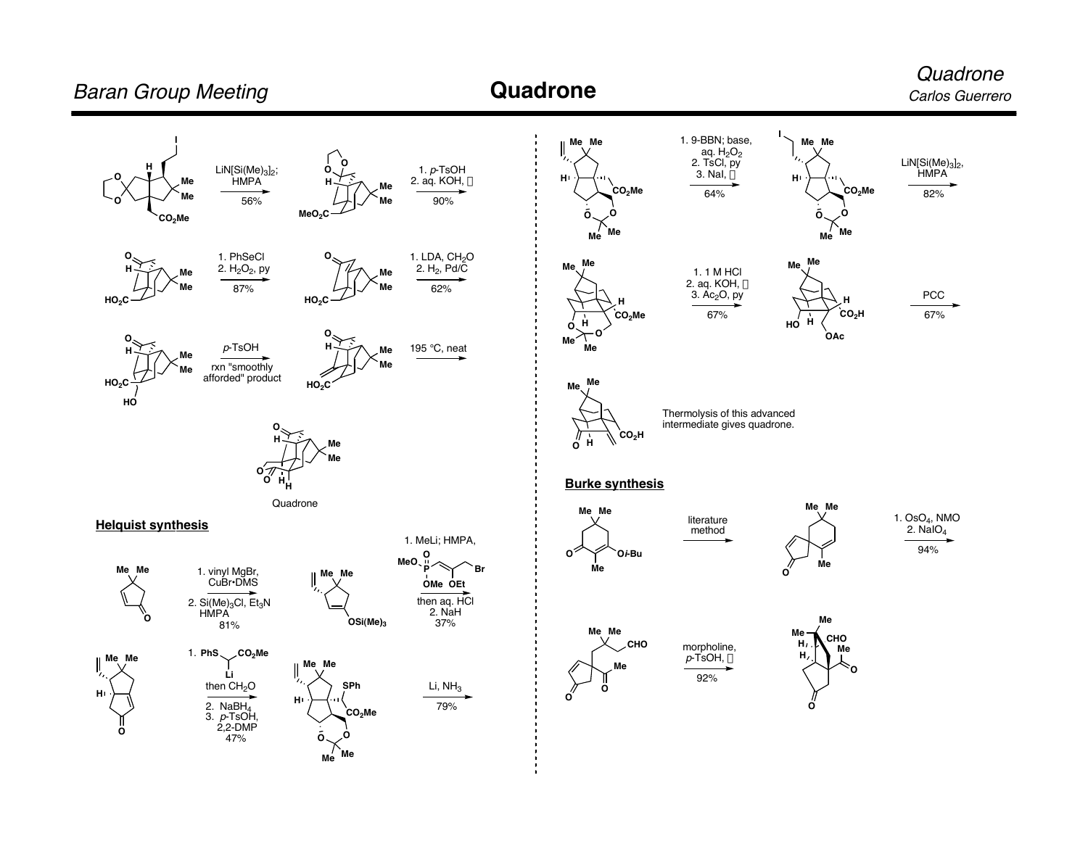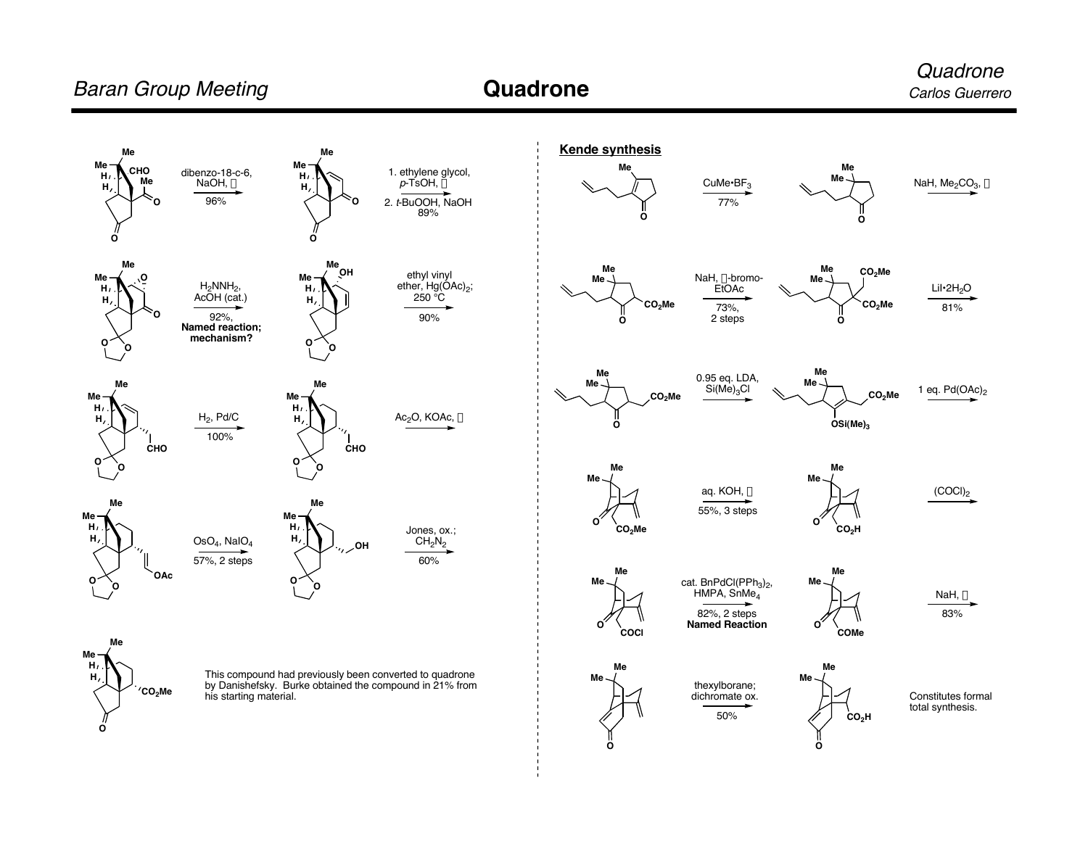# **Baran Group Meeting Carlos Carlos Carlos Carlos Carlos Guerrero** Carlos Guerrero

89%

 $250^\circ \text{C}$ 

90%

60%





**H**

**O**

**CO2Me**

This compound had previously been converted to quadrone by Danishefsky. Burke obtained the compound in 21% from his starting material.

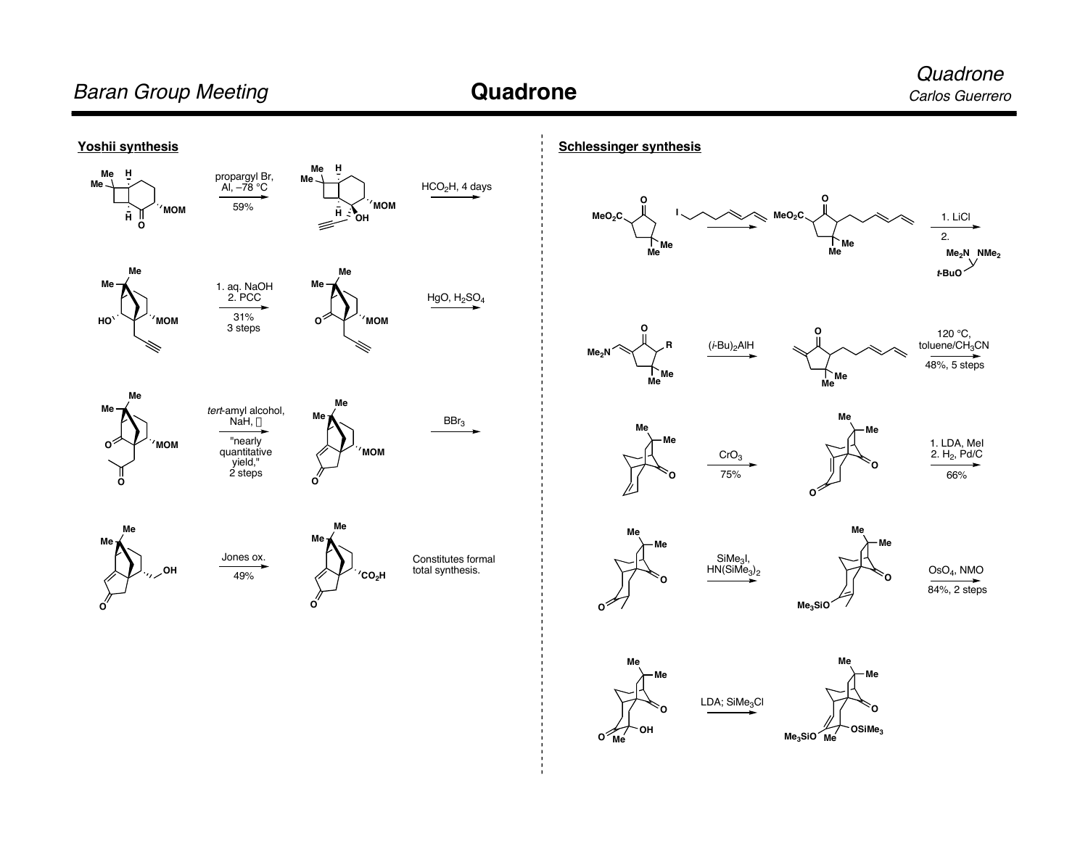**Quadrone** 

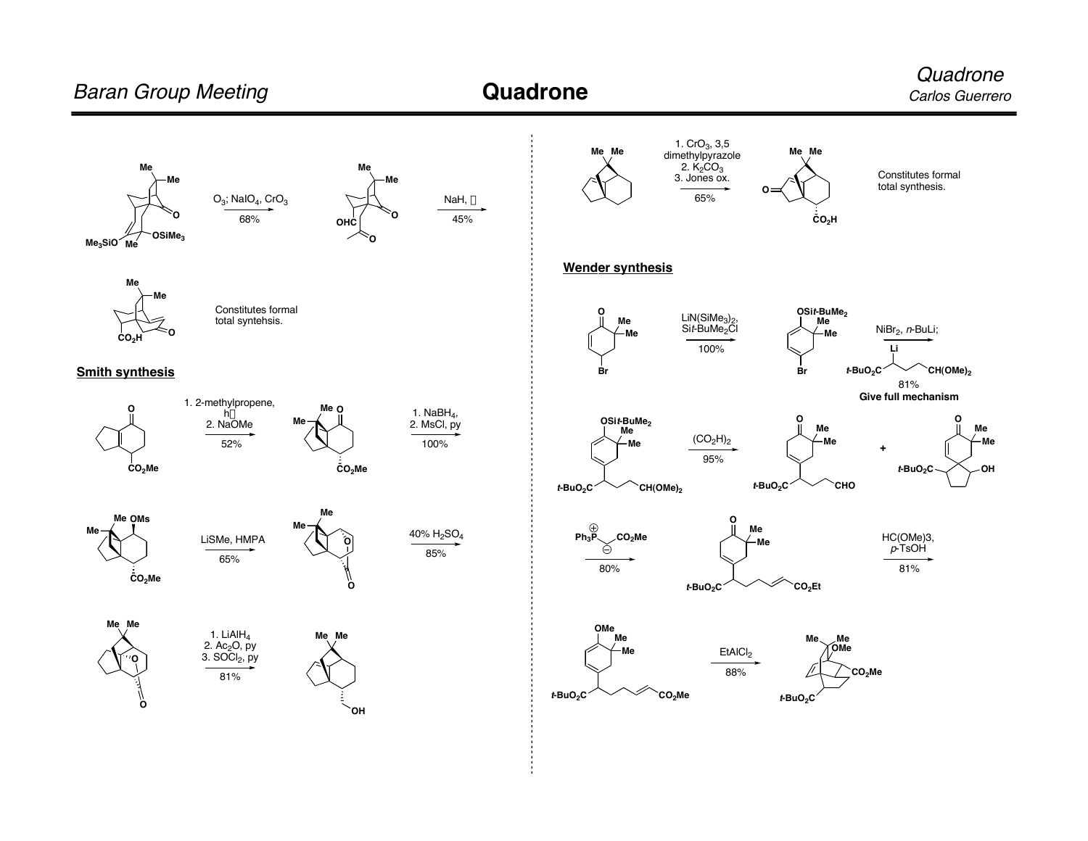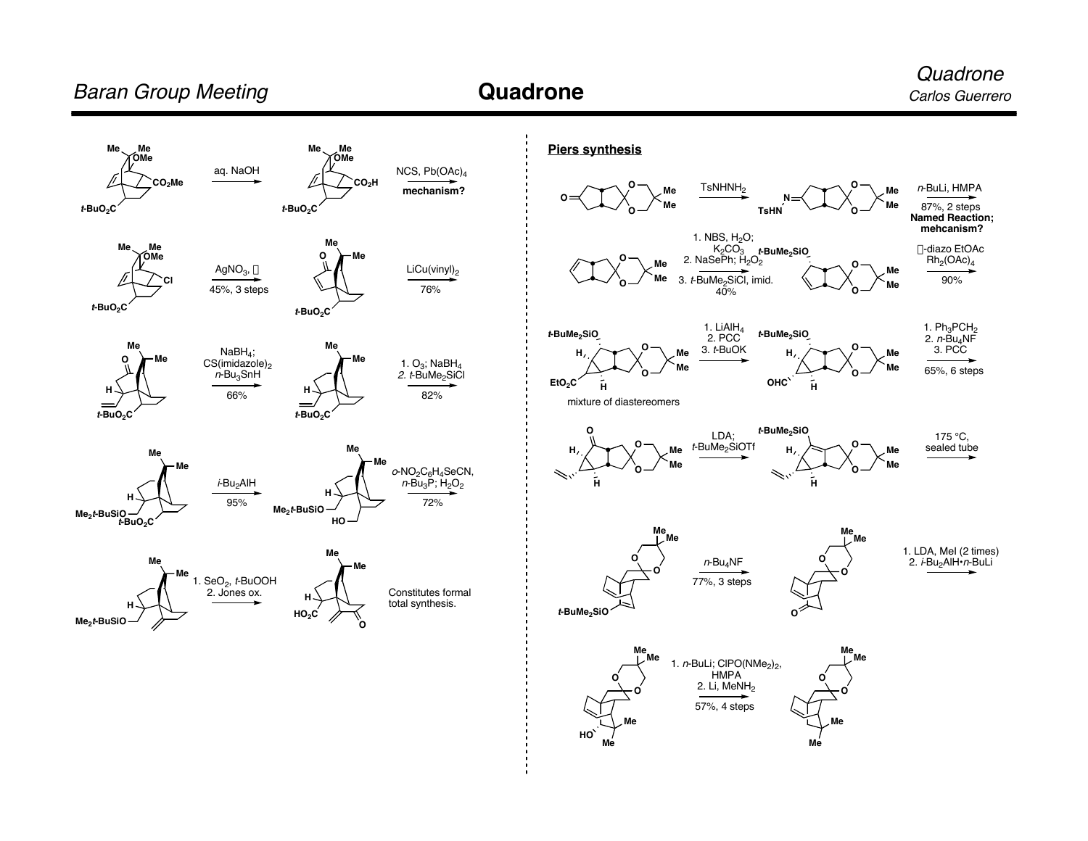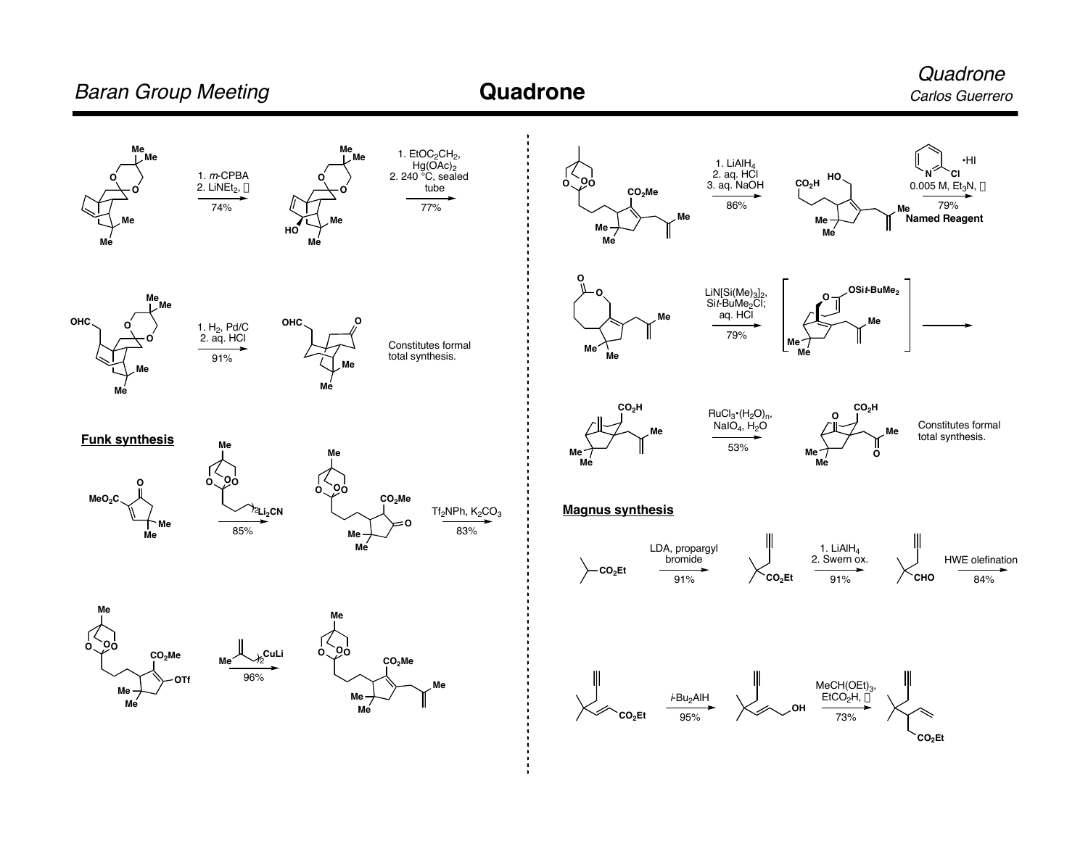